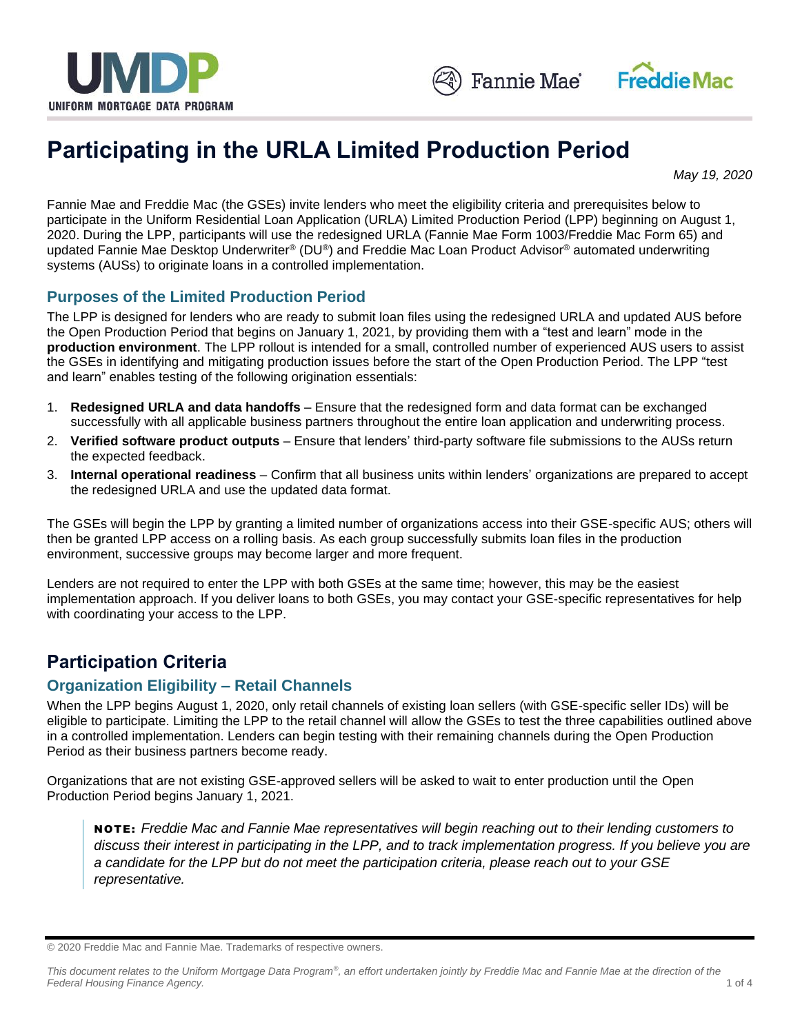



# **Participating in the URLA Limited Production Period**

*May 19, 2020*

Fannie Mae and Freddie Mac (the GSEs) invite lenders who meet the eligibility criteria and prerequisites below to participate in the Uniform Residential Loan Application (URLA) Limited Production Period (LPP) beginning on August 1, 2020. During the LPP, participants will use the redesigned URLA (Fannie Mae Form 1003/Freddie Mac Form 65) and updated Fannie Mae Desktop Underwriter® (DU®) and Freddie Mac Loan Product Advisor® automated underwriting systems (AUSs) to originate loans in a controlled implementation.

### **Purposes of the Limited Production Period**

The LPP is designed for lenders who are ready to submit loan files using the redesigned URLA and updated AUS before the Open Production Period that begins on January 1, 2021, by providing them with a "test and learn" mode in the **production environment**. The LPP rollout is intended for a small, controlled number of experienced AUS users to assist the GSEs in identifying and mitigating production issues before the start of the Open Production Period. The LPP "test and learn" enables testing of the following origination essentials:

- 1. **Redesigned URLA and data handoffs** Ensure that the redesigned form and data format can be exchanged successfully with all applicable business partners throughout the entire loan application and underwriting process.
- 2. **Verified software product outputs** Ensure that lenders' third-party software file submissions to the AUSs return the expected feedback.
- 3. **Internal operational readiness** Confirm that all business units within lenders' organizations are prepared to accept the redesigned URLA and use the updated data format.

The GSEs will begin the LPP by granting a limited number of organizations access into their GSE-specific AUS; others will then be granted LPP access on a rolling basis. As each group successfully submits loan files in the production environment, successive groups may become larger and more frequent.

Lenders are not required to enter the LPP with both GSEs at the same time; however, this may be the easiest implementation approach. If you deliver loans to both GSEs, you may contact your GSE-specific representatives for help with coordinating your access to the LPP.

### **Participation Criteria**

### **Organization Eligibility – Retail Channels**

When the LPP begins August 1, 2020, only retail channels of existing loan sellers (with GSE-specific seller IDs) will be eligible to participate. Limiting the LPP to the retail channel will allow the GSEs to test the three capabilities outlined above in a controlled implementation. Lenders can begin testing with their remaining channels during the Open Production Period as their business partners become ready.

Organizations that are not existing GSE-approved sellers will be asked to wait to enter production until the Open Production Period begins January 1, 2021.

NO TE : *Freddie Mac and Fannie Mae representatives will begin reaching out to their lending customers to discuss their interest in participating in the LPP, and to track implementation progress. If you believe you are a candidate for the LPP but do not meet the participation criteria, please reach out to your GSE representative.* 

<sup>© 2020</sup> Freddie Mac and Fannie Mae. Trademarks of respective owners.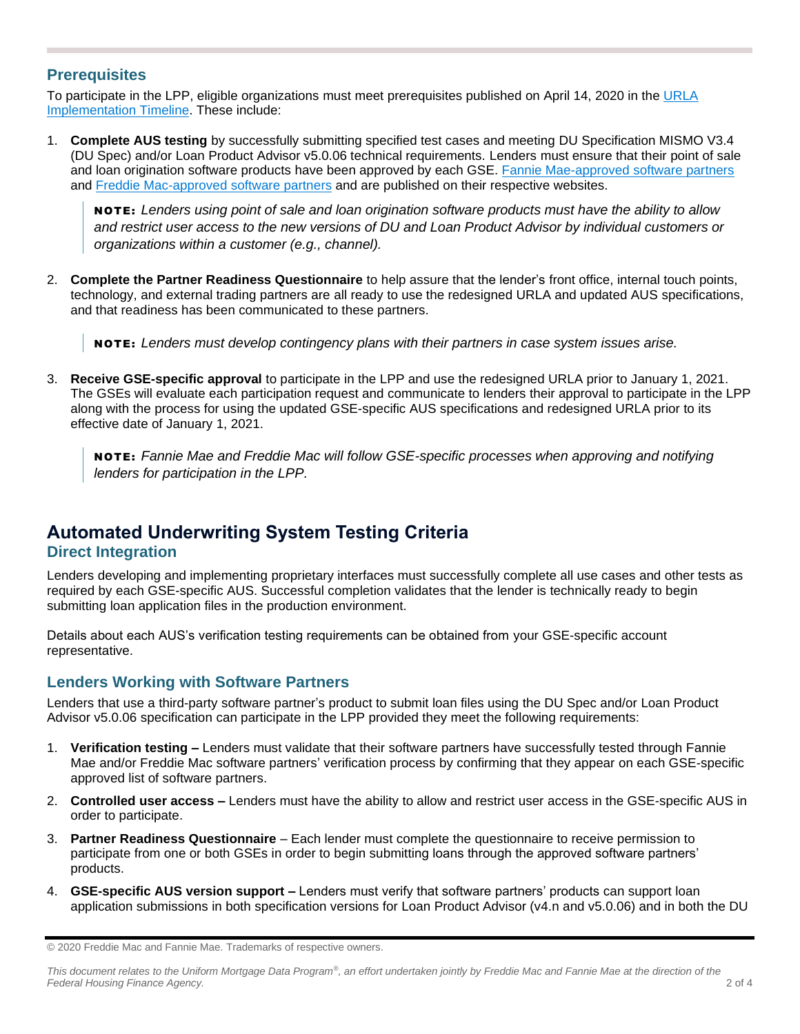#### **Prerequisites**

To participate in the LPP, eligible organizations must meet prerequisites published on April 14, 2020 in the URLA [Implementation Timeline.](https://singlefamily.fanniemae.com/media/document/pdf/extended-urla-implementation-timeline) These include:

1. **Complete AUS testing** by successfully submitting specified test cases and meeting DU Specification MISMO V3.4 (DU Spec) and/or Loan Product Advisor v5.0.06 technical requirements. Lenders must ensure that their point of sale and loan origination software products have been approved by each GSE. [Fannie Mae-approved software partners](https://singlefamily.fanniemae.com/vendors-approved-support-redesigned-form-1003du-spec) and [Freddie Mac-approved software partners](https://sf.freddiemac.com/working-with-us/software-partners) and are published on their respective websites.

NO TE : *Lenders using point of sale and loan origination software products must have the ability to allow and restrict user access to the new versions of DU and Loan Product Advisor by individual customers or organizations within a customer (e.g., channel).* 

2. **Complete the Partner Readiness Questionnaire** to help assure that the lender's front office, internal touch points, technology, and external trading partners are all ready to use the redesigned URLA and updated AUS specifications, and that readiness has been communicated to these partners.

NO TE : *Lenders must develop contingency plans with their partners in case system issues arise.* 

3. **Receive GSE-specific approval** to participate in the LPP and use the redesigned URLA prior to January 1, 2021. The GSEs will evaluate each participation request and communicate to lenders their approval to participate in the LPP along with the process for using the updated GSE-specific AUS specifications and redesigned URLA prior to its effective date of January 1, 2021.

NO TE : *Fannie Mae and Freddie Mac will follow GSE-specific processes when approving and notifying lenders for participation in the LPP.* 

# **Automated Underwriting System Testing Criteria**

#### **Direct Integration**

Lenders developing and implementing proprietary interfaces must successfully complete all use cases and other tests as required by each GSE-specific AUS. Successful completion validates that the lender is technically ready to begin submitting loan application files in the production environment.

Details about each AUS's verification testing requirements can be obtained from your GSE-specific account representative.

#### **Lenders Working with Software Partners**

Lenders that use a third-party software partner's product to submit loan files using the DU Spec and/or Loan Product Advisor v5.0.06 specification can participate in the LPP provided they meet the following requirements:

- 1. **Verification testing –** Lenders must validate that their software partners have successfully tested through Fannie Mae and/or Freddie Mac software partners' verification process by confirming that they appear on each GSE-specific approved list of software partners.
- 2. **Controlled user access –** Lenders must have the ability to allow and restrict user access in the GSE-specific AUS in order to participate.
- 3. **Partner Readiness Questionnaire**  Each lender must complete the questionnaire to receive permission to participate from one or both GSEs in order to begin submitting loans through the approved software partners' products.
- 4. **GSE-specific AUS version support –** Lenders must verify that software partners' products can support loan application submissions in both specification versions for Loan Product Advisor (v4.n and v5.0.06) and in both the DU

*This document relates to the Uniform Mortgage Data Program® , an effort undertaken jointly by Freddie Mac and Fannie Mae at the direction of the Federal Housing Finance Agency.* 2 of 4

<sup>© 2020</sup> Freddie Mac and Fannie Mae. Trademarks of respective owners.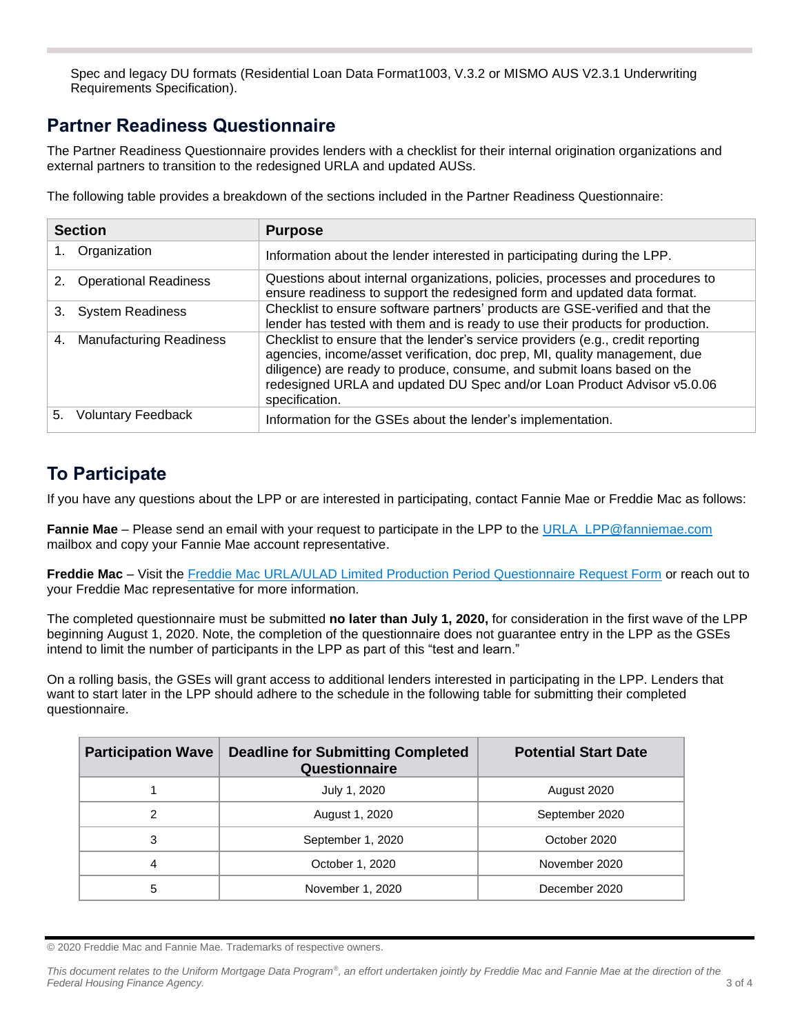Spec and legacy DU formats (Residential Loan Data Format1003, V.3.2 or MISMO AUS V2.3.1 Underwriting Requirements Specification).

### **Partner Readiness Questionnaire**

The Partner Readiness Questionnaire provides lenders with a checklist for their internal origination organizations and external partners to transition to the redesigned URLA and updated AUSs.

The following table provides a breakdown of the sections included in the Partner Readiness Questionnaire:

| <b>Section</b>                       | <b>Purpose</b>                                                                                                                                                                                                                                                                                                                        |
|--------------------------------------|---------------------------------------------------------------------------------------------------------------------------------------------------------------------------------------------------------------------------------------------------------------------------------------------------------------------------------------|
| Organization                         | Information about the lender interested in participating during the LPP.                                                                                                                                                                                                                                                              |
| <b>Operational Readiness</b>         | Questions about internal organizations, policies, processes and procedures to<br>ensure readiness to support the redesigned form and updated data format.                                                                                                                                                                             |
| <b>System Readiness</b><br>3.        | Checklist to ensure software partners' products are GSE-verified and that the<br>lender has tested with them and is ready to use their products for production.                                                                                                                                                                       |
| <b>Manufacturing Readiness</b><br>4. | Checklist to ensure that the lender's service providers (e.g., credit reporting<br>agencies, income/asset verification, doc prep, MI, quality management, due<br>diligence) are ready to produce, consume, and submit loans based on the<br>redesigned URLA and updated DU Spec and/or Loan Product Advisor v5.0.06<br>specification. |
| <b>Voluntary Feedback</b><br>5.      | Information for the GSEs about the lender's implementation.                                                                                                                                                                                                                                                                           |

## **To Participate**

If you have any questions about the LPP or are interested in participating, contact Fannie Mae or Freddie Mac as follows:

Fannie Mae - Please send an email with your request to participate in the LPP to the [URLA\\_LPP@fanniemae.com](mailto:URLA_LPP@fanniemae.com) mailbox and copy your Fannie Mae account representative.

**Freddie Mac** – Visit the [Freddie Mac URLA/ULAD Limited Production Period Questionnaire Request Form](https://sf.freddiemac.com/tools-learning/uniform-mortgage-data-program/urla-ulad-limited-production-period-questionnaire-request-form) or reach out to your Freddie Mac representative for more information.

The completed questionnaire must be submitted **no later than July 1, 2020,** for consideration in the first wave of the LPP beginning August 1, 2020. Note, the completion of the questionnaire does not guarantee entry in the LPP as the GSEs intend to limit the number of participants in the LPP as part of this "test and learn."

On a rolling basis, the GSEs will grant access to additional lenders interested in participating in the LPP. Lenders that want to start later in the LPP should adhere to the schedule in the following table for submitting their completed questionnaire.

| <b>Participation Wave</b> | <b>Deadline for Submitting Completed</b><br>Questionnaire | <b>Potential Start Date</b> |
|---------------------------|-----------------------------------------------------------|-----------------------------|
|                           | July 1, 2020                                              | August 2020                 |
| 2                         | August 1, 2020                                            | September 2020              |
| 3                         | September 1, 2020                                         | October 2020                |
| 4                         | October 1, 2020                                           | November 2020               |
| 5                         | November 1, 2020                                          | December 2020               |

© 2020 Freddie Mac and Fannie Mae. Trademarks of respective owners.

*This document relates to the Uniform Mortgage Data Program® , an effort undertaken jointly by Freddie Mac and Fannie Mae at the direction of the Federal Housing Finance Agency.* 3 of 4